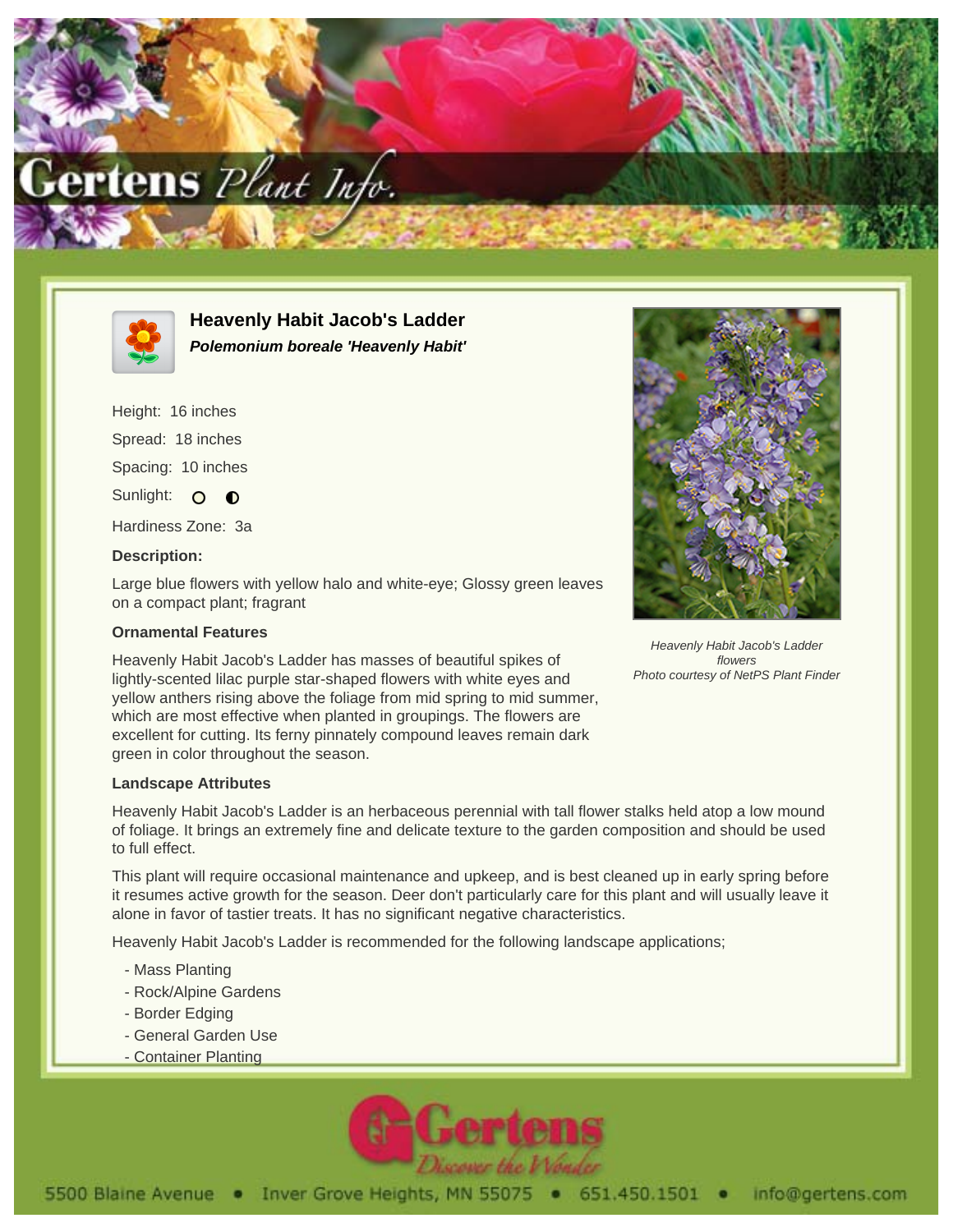



**Heavenly Habit Jacob's Ladder Polemonium boreale 'Heavenly Habit'**

Height: 16 inches Spread: 18 inches Spacing: 10 inches Sunlight: O O Hardiness Zone: 3a

## **Description:**

Large blue flowers with yellow halo and white-eye; Glossy green leaves on a compact plant; fragrant

## **Ornamental Features**

Heavenly Habit Jacob's Ladder has masses of beautiful spikes of lightly-scented lilac purple star-shaped flowers with white eyes and yellow anthers rising above the foliage from mid spring to mid summer, which are most effective when planted in groupings. The flowers are excellent for cutting. Its ferny pinnately compound leaves remain dark green in color throughout the season.

## **Landscape Attributes**

Heavenly Habit Jacob's Ladder is an herbaceous perennial with tall flower stalks held atop a low mound of foliage. It brings an extremely fine and delicate texture to the garden composition and should be used to full effect.

This plant will require occasional maintenance and upkeep, and is best cleaned up in early spring before it resumes active growth for the season. Deer don't particularly care for this plant and will usually leave it alone in favor of tastier treats. It has no significant negative characteristics.

Heavenly Habit Jacob's Ladder is recommended for the following landscape applications;

- Mass Planting
- Rock/Alpine Gardens
- Border Edging
- General Garden Use
- Container Planting





Heavenly Habit Jacob's Ladder flowers Photo courtesy of NetPS Plant Finder